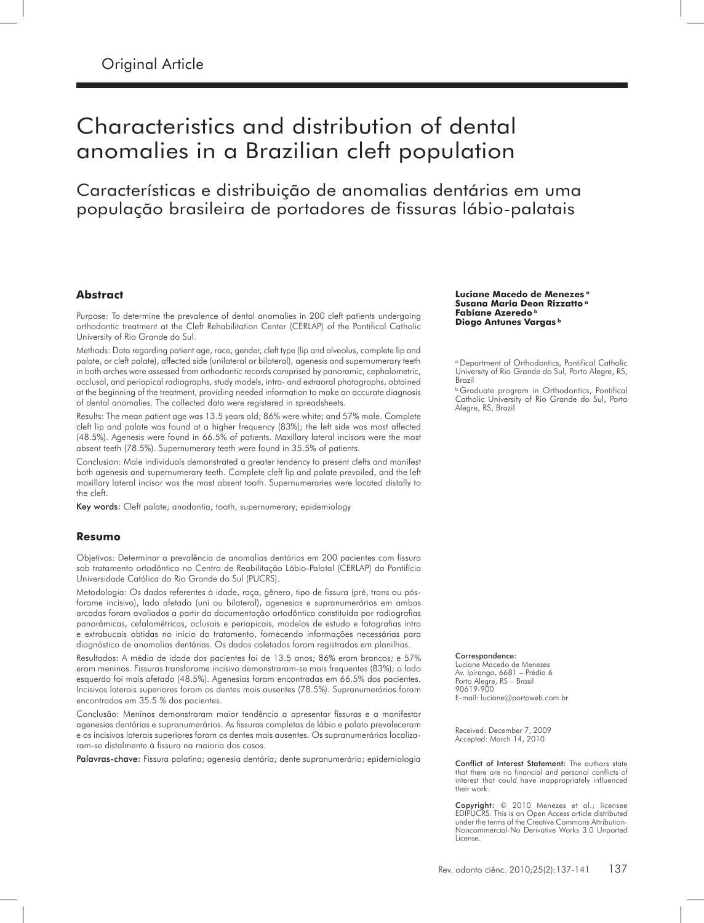# Characteristics and distribution of dental anomalies in a Brazilian cleft population

Características e distribuição de anomalias dentárias em uma população brasileira de portadores de fissuras lábio-palatais

#### **Abstract**

Purpose: To determine the prevalence of dental anomalies in 200 cleft patients undergoing orthodontic treatment at the Cleft Rehabilitation Center (CERLAP) of the Pontifical Catholic University of Rio Grande do Sul.

Methods: Data regarding patient age, race, gender, cleft type (lip and alveolus, complete lip and palate, or cleft palate), affected side (unilateral or bilateral), agenesis and supernumerary teeth in both arches were assessed from orthodontic records comprised by panoramic, cephalometric, occlusal, and periapical radiographs, study models, intra- and extraoral photographs, obtained at the beginning of the treatment, providing needed information to make an accurate diagnosis of dental anomalies. The collected data were registered in spreadsheets.

Results: The mean patient age was 13.5 years old; 86% were white; and 57% male. Complete cleft lip and palate was found at a higher frequency (83%); the left side was most affected (48.5%). Agenesis were found in 66.5% of patients. Maxillary lateral incisors were the most absent teeth (78.5%). Supernumerary teeth were found in 35.5% of patients.

Conclusion: Male individuals demonstrated a greater tendency to present clefts and manifest both agenesis and supernumerary teeth. Complete cleft lip and palate prevailed, and the left maxillary lateral incisor was the most absent tooth. Supernumeraries were located distally to the cleft.

Key words: Cleft palate; anodontia; tooth, supernumerary; epidemiology

#### **Resumo**

Objetivos: Determinar a prevalência de anomalias dentárias em 200 pacientes com fissura sob tratamento ortodôntico no Centro de Reabilitação Lábio-Palatal (CERLAP) da Pontifícia Universidade Católica do Rio Grande do Sul (PUCRS).

Metodologia: Os dados referentes à idade, raça, gênero, tipo de fissura (pré, trans ou pósforame incisivo), lado afetado (uni ou bilateral), agenesias e supranumerários em ambas arcadas foram avaliados a partir da documentação ortodôntica constituída por radiografias panorâmicas, cefalométricas, oclusais e periapicais, modelos de estudo e fotografias intra e extrabucais obtidas no início do tratamento, fornecendo informações necessárias para diagnóstico de anomalias dentárias. Os dados coletados foram registrados em planilhas.

Resultados: A média de idade dos pacientes foi de 13.5 anos; 86% eram brancos; e 57% eram meninos. Fissuras transforame incisivo demonstraram-se mais frequentes (83%); o lado esquerdo foi mais afetado (48.5%). Agenesias foram encontradas em 66.5% dos pacientes. Incisivos laterais superiores foram os dentes mais ausentes (78.5%). Supranumerários foram encontrados em 35.5 % dos pacientes.

Conclusão: Meninos demonstraram maior tendência a apresentar fissuras e a manifestar agenesias dentárias e supranumerários. As fissuras completas de lábio e palato prevaleceram e os incisivos laterais superiores foram os dentes mais ausentes. Os supranumerários localizaram-se distalmente à fissura na maioria dos casos.

Palavras-chave: Fissura palatina; agenesia dentária; dente supranumerário; epidemiologia

#### **Luciane Macedo de Menezes a Susana Maria Deon Rizzatto a Fabiane Azeredo b Diogo Antunes Vargas b**

<sup>a</sup> Department of Orthodontics, Pontifical Catholic University of Rio Grande do Sul, Porto Alegre, RS, Brazil

<sup>b</sup> Graduate program in Orthodontics, Pontifical Catholic University of Rio Grande do Sul, Porto Alegre, RS, Brazil

#### Correspondence:

Luciane Macedo de Menezes Av. Ipiranga, 6681 – Prédio 6 Porto Alegre, RS – Brasil 90619-900 E-mail: luciane@portoweb.com.br

Received: December 7, 2009 Accepted: March 14, 2010

Conflict of Interest Statement: The authors state that there are no financial and personal conflicts of interest that could have inappropriately influenced their work.

Copyright: © 2010 Menezes et al.; licensee EDIPUCRS. This is an Open Access article distributed under the terms of the Creative Commons Attribution-Noncommercial-No Derivative Works 3.0 Unported License.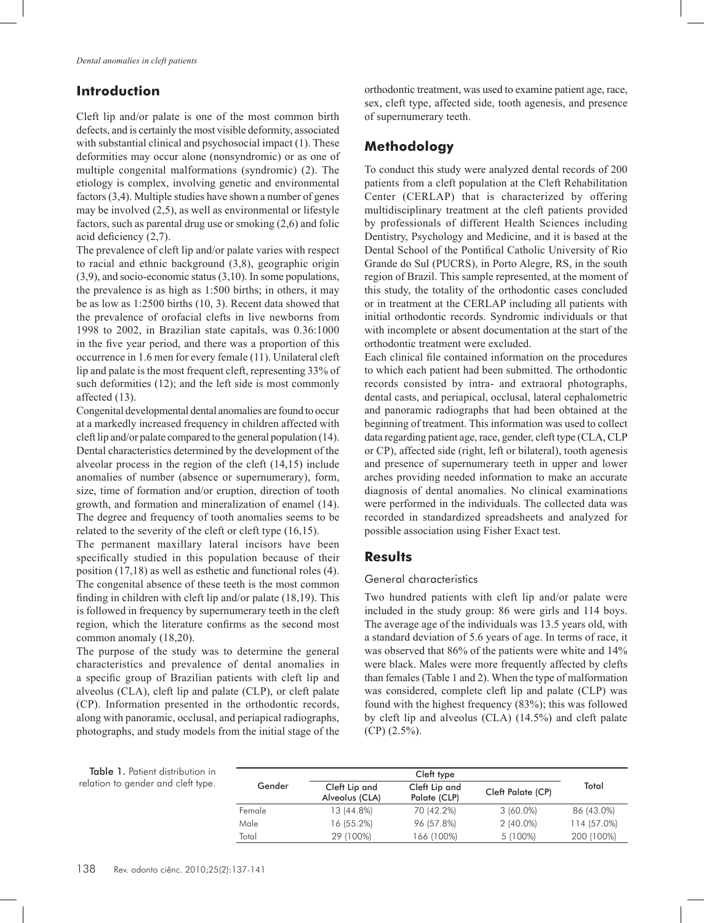# **Introduction**

Cleft lip and/or palate is one of the most common birth defects, and is certainly the most visible deformity, associated with substantial clinical and psychosocial impact (1). These deformities may occur alone (nonsyndromic) or as one of multiple congenital malformations (syndromic) (2). The etiology is complex, involving genetic and environmental factors (3,4). Multiple studies have shown a number of genes may be involved (2,5), as well as environmental or lifestyle factors, such as parental drug use or smoking (2,6) and folic acid deficiency (2,7).

The prevalence of cleft lip and/or palate varies with respect to racial and ethnic background (3,8), geographic origin (3,9), and socio-economic status (3,10). In some populations, the prevalence is as high as 1:500 births; in others, it may be as low as 1:2500 births (10, 3). Recent data showed that the prevalence of orofacial clefts in live newborns from 1998 to 2002, in Brazilian state capitals, was 0.36:1000 in the five year period, and there was a proportion of this occurrence in 1.6 men for every female (11). Unilateral cleft lip and palate is the most frequent cleft, representing 33% of such deformities (12); and the left side is most commonly affected (13).

Congenital developmental dental anomalies are found to occur at a markedly increased frequency in children affected with cleft lip and/or palate compared to the general population (14). Dental characteristics determined by the development of the alveolar process in the region of the cleft (14,15) include anomalies of number (absence or supernumerary), form, size, time of formation and/or eruption, direction of tooth growth, and formation and mineralization of enamel (14). The degree and frequency of tooth anomalies seems to be related to the severity of the cleft or cleft type (16,15).

The permanent maxillary lateral incisors have been specifically studied in this population because of their position (17,18) as well as esthetic and functional roles (4). The congenital absence of these teeth is the most common finding in children with cleft lip and/or palate (18,19). This is followed in frequency by supernumerary teeth in the cleft region, which the literature confirms as the second most common anomaly (18,20).

The purpose of the study was to determine the general characteristics and prevalence of dental anomalies in a specific group of Brazilian patients with cleft lip and alveolus (CLA), cleft lip and palate (CLP), or cleft palate (CP). Information presented in the orthodontic records, along with panoramic, occlusal, and periapical radiographs, photographs, and study models from the initial stage of the orthodontic treatment, was used to examine patient age, race, sex, cleft type, affected side, tooth agenesis, and presence of supernumerary teeth.

# **Methodology**

To conduct this study were analyzed dental records of 200 patients from a cleft population at the Cleft Rehabilitation Center (CERLAP) that is characterized by offering multidisciplinary treatment at the cleft patients provided by professionals of different Health Sciences including Dentistry, Psychology and Medicine, and it is based at the Dental School of the Pontifical Catholic University of Rio Grande do Sul (PUCRS), in Porto Alegre, RS, in the south region of Brazil. This sample represented, at the moment of this study, the totality of the orthodontic cases concluded or in treatment at the CERLAP including all patients with initial orthodontic records. Syndromic individuals or that with incomplete or absent documentation at the start of the orthodontic treatment were excluded.

Each clinical file contained information on the procedures to which each patient had been submitted. The orthodontic records consisted by intra- and extraoral photographs, dental casts, and periapical, occlusal, lateral cephalometric and panoramic radiographs that had been obtained at the beginning of treatment. This information was used to collect data regarding patient age, race, gender, cleft type (CLA, CLP or CP), affected side (right, left or bilateral), tooth agenesis and presence of supernumerary teeth in upper and lower arches providing needed information to make an accurate diagnosis of dental anomalies. No clinical examinations were performed in the individuals. The collected data was recorded in standardized spreadsheets and analyzed for possible association using Fisher Exact test.

# **Results**

### General characteristics

Two hundred patients with cleft lip and/or palate were included in the study group: 86 were girls and 114 boys. The average age of the individuals was 13.5 years old, with a standard deviation of 5.6 years of age. In terms of race, it was observed that 86% of the patients were white and 14% were black. Males were more frequently affected by clefts than females (Table 1 and 2). When the type of malformation was considered, complete cleft lip and palate (CLP) was found with the highest frequency (83%); this was followed by cleft lip and alveolus (CLA) (14.5%) and cleft palate (CP) (2.5%).

Table 1. Patient distribution in relation to gender and cleft type.

| Gender | Cleft Lip and<br>Cleft Lip and<br>Alveolus (CLA)<br>Palate (CLP) |            | Cleft Palate (CP) | Total       |  |
|--------|------------------------------------------------------------------|------------|-------------------|-------------|--|
| Female | 13 (44.8%)                                                       | 70 (42.2%) | $3(60.0\%)$       | 86 (43.0%)  |  |
| Male   | 16 (55.2%)                                                       | 96 (57.8%) | $2(40.0\%)$       | 114 (57.0%) |  |
| Total  | 29 (100%)                                                        | 166 (100%) | 5 (100%)          | 200 (100%)  |  |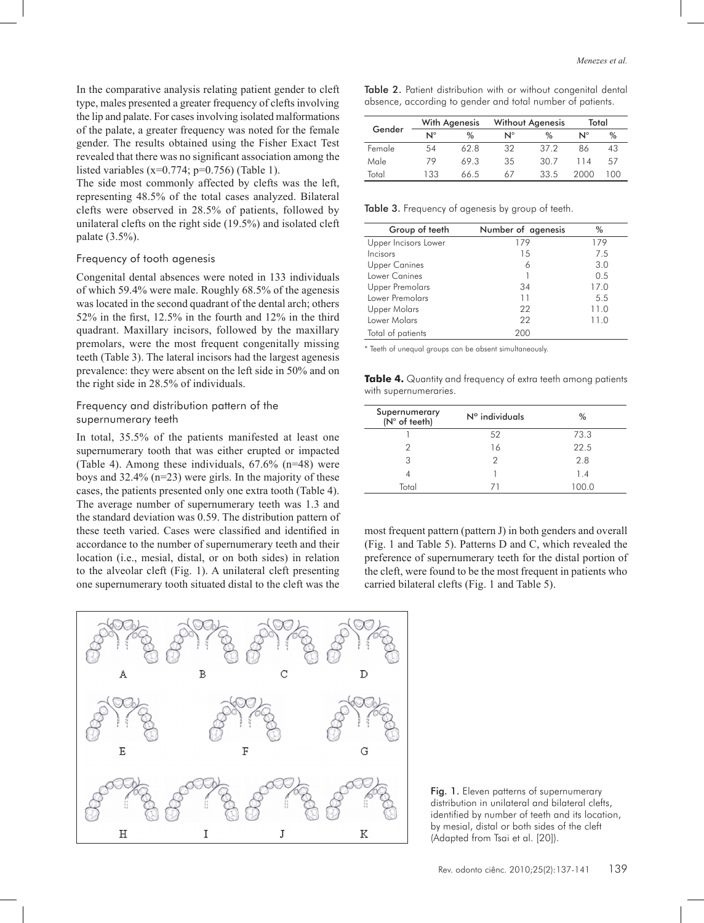In the comparative analysis relating patient gender to cleft type, males presented a greater frequency of clefts involving the lip and palate. For cases involving isolated malformations of the palate, a greater frequency was noted for the female gender. The results obtained using the Fisher Exact Test revealed that there was no significant association among the listed variables  $(x=0.774; p=0.756)$  (Table 1).

The side most commonly affected by clefts was the left, representing 48.5% of the total cases analyzed. Bilateral clefts were observed in 28.5% of patients, followed by unilateral clefts on the right side (19.5%) and isolated cleft palate (3.5%).

#### Frequency of tooth agenesis

Congenital dental absences were noted in 133 individuals of which 59.4% were male. Roughly 68.5% of the agenesis was located in the second quadrant of the dental arch; others 52% in the first, 12.5% in the fourth and 12% in the third quadrant. Maxillary incisors, followed by the maxillary premolars, were the most frequent congenitally missing teeth (Table 3). The lateral incisors had the largest agenesis prevalence: they were absent on the left side in 50% and on the right side in 28.5% of individuals.

#### Frequency and distribution pattern of the supernumerary teeth

In total, 35.5% of the patients manifested at least one supernumerary tooth that was either erupted or impacted (Table 4). Among these individuals, 67.6% (n=48) were boys and 32.4% (n=23) were girls. In the majority of these cases, the patients presented only one extra tooth (Table 4). The average number of supernumerary teeth was 1.3 and the standard deviation was 0.59. The distribution pattern of these teeth varied. Cases were classified and identified in accordance to the number of supernumerary teeth and their location (i.e., mesial, distal, or on both sides) in relation to the alveolar cleft (Fig. 1). A unilateral cleft presenting one supernumerary tooth situated distal to the cleft was the Table 2. Patient distribution with or without congenital dental absence, according to gender and total number of patients.

| Gender |             | With Agenesis |    | Without Agenesis | Total |    |  |
|--------|-------------|---------------|----|------------------|-------|----|--|
|        | $N^{\circ}$ | %             | N° | %                | N°    | %  |  |
| Female | 54          | 62 B          | 32 | 37.2             | 86    | 43 |  |
| Male   | 79          | 693           | 35 | 30.7             | 114   | 57 |  |
| Total  | 133         | 66.5          | 67 | 33.5             | 2000  | 00 |  |

Table 3. Frequency of agenesis by group of teeth.

| Group of teeth       | Number of agenesis | %    |
|----------------------|--------------------|------|
| Upper Incisors Lower | 179                | 179  |
| Incisors             | 15                 | 7.5  |
| <b>Upper Canines</b> | 6                  | 3.0  |
| Lower Canines        |                    | 0.5  |
| Upper Premolars      | 34                 | 17.0 |
| Lower Premolars      | 11                 | 5.5  |
| Upper Molars         | 22                 | 11.0 |
| Lower Molars         | 22                 | 11.0 |
| Total of patients    |                    |      |

\* Teeth of unequal groups can be absent simultaneously.

**Table 4.** Quantity and frequency of extra teeth among patients with supernumeraries.

| Supernumerary<br>(N° of teeth) | $No$ individuals | $\%$  |  |  |
|--------------------------------|------------------|-------|--|--|
|                                | 52               | 73.3  |  |  |
|                                | 16               | 22.5  |  |  |
| 3                              | 2                | 2.8   |  |  |
|                                |                  | 1.4   |  |  |
| Total                          |                  | 100.0 |  |  |

most frequent pattern (pattern J) in both genders and overall (Fig. 1 and Table 5). Patterns D and C, which revealed the preference of supernumerary teeth for the distal portion of the cleft, were found to be the most frequent in patients who carried bilateral clefts (Fig. 1 and Table 5).



Fig. 1. Eleven patterns of supernumerary distribution in unilateral and bilateral clefts, identified by number of teeth and its location, by mesial, distal or both sides of the cleft (Adapted from Tsai et al. [20]).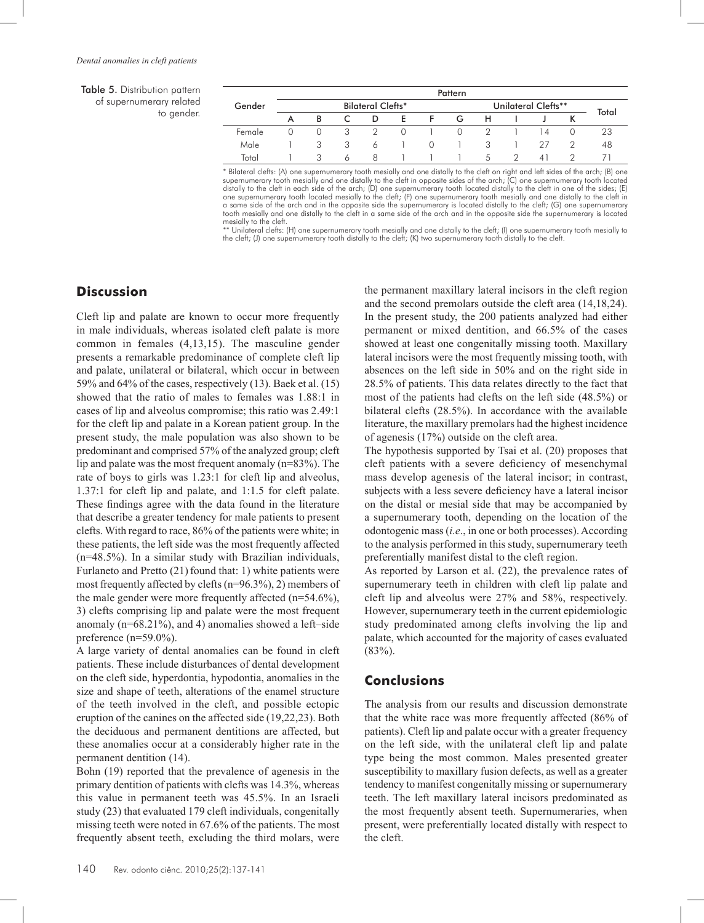Table 5. Distribution pattern of supernumerary related to gender.

|               |                          |          |   |   |          |          | Pattern |                     |   |    |                  |       |
|---------------|--------------------------|----------|---|---|----------|----------|---------|---------------------|---|----|------------------|-------|
| Gender        | <b>Bilateral Clefts*</b> |          |   |   |          |          |         | Unilateral Clefts** |   |    |                  |       |
|               | А                        | B.       |   | D | E.       | Е        | G       | н                   |   |    |                  | Total |
| <b>Female</b> |                          | $\left($ | 3 | 2 | $\left($ |          |         | $\mathcal{D}$       |   | 14 | $\left( \right)$ | 23    |
| Male          |                          | 3        | 3 | 6 |          | $\left($ |         | 3                   |   | 27 | っ                | 48    |
| Total         |                          | 3        | 6 | 8 |          |          |         | 5                   | 2 | 41 | 2                |       |

\* Bilateral clefts: (A) one supernumerary tooth mesially and one distally to the cleft on right and left sides of the arch; (B) one supernumerary tooth mesially and one distally to the cleft in opposite sides of the arch; (C) one supernumerary tooth located distally to the cleft in each side of the arch; (D) one supernumerary tooth located distally to the cleft in one of the sides; (E) one supernumerary tooth located mesially to the cleft; (F) one supernumerary tooth mesially and one distally to the cleft in a same side of the arch and in the opposite side the supernumerary is located distally to the cleft; (G) one supernumerary tooth mesially and one distally to the cleft in a same side of the arch and in the opposite side the supernumerary is located mesially to the cleft.

\*\* Unilateral clefts: (H) one supernumerary tooth mesially and one distally to the cleft; (I) one supernumerary tooth mesially to the cleft; (J) one supernumerary tooth distally to the cleft; (K) two supernumerary tooth distally to the cleft.

## **Discussion**

Cleft lip and palate are known to occur more frequently in male individuals, whereas isolated cleft palate is more common in females (4,13,15). The masculine gender presents a remarkable predominance of complete cleft lip and palate, unilateral or bilateral, which occur in between 59% and 64% of the cases, respectively (13). Baek et al. (15) showed that the ratio of males to females was 1.88:1 in cases of lip and alveolus compromise; this ratio was 2.49:1 for the cleft lip and palate in a Korean patient group. In the present study, the male population was also shown to be predominant and comprised 57% of the analyzed group; cleft lip and palate was the most frequent anomaly (n=83%). The rate of boys to girls was 1.23:1 for cleft lip and alveolus, 1.37:1 for cleft lip and palate, and 1:1.5 for cleft palate. These findings agree with the data found in the literature that describe a greater tendency for male patients to present clefts. With regard to race, 86% of the patients were white; in these patients, the left side was the most frequently affected (n=48.5%). In a similar study with Brazilian individuals, Furlaneto and Pretto  $(21)$  found that: 1) white patients were most frequently affected by clefts (n=96.3%), 2) members of the male gender were more frequently affected (n=54.6%), 3) clefts comprising lip and palate were the most frequent anomaly ( $n=68.21\%$ ), and 4) anomalies showed a left–side preference (n=59.0%).

A large variety of dental anomalies can be found in cleft patients. These include disturbances of dental development on the cleft side, hyperdontia, hypodontia, anomalies in the size and shape of teeth, alterations of the enamel structure of the teeth involved in the cleft, and possible ectopic eruption of the canines on the affected side (19,22,23). Both the deciduous and permanent dentitions are affected, but these anomalies occur at a considerably higher rate in the permanent dentition (14).

Bohn (19) reported that the prevalence of agenesis in the primary dentition of patients with clefts was 14.3%, whereas this value in permanent teeth was 45.5%. In an Israeli study (23) that evaluated 179 cleft individuals, congenitally missing teeth were noted in 67.6% of the patients. The most frequently absent teeth, excluding the third molars, were the permanent maxillary lateral incisors in the cleft region and the second premolars outside the cleft area (14,18,24). In the present study, the 200 patients analyzed had either permanent or mixed dentition, and 66.5% of the cases showed at least one congenitally missing tooth. Maxillary lateral incisors were the most frequently missing tooth, with absences on the left side in 50% and on the right side in 28.5% of patients. This data relates directly to the fact that most of the patients had clefts on the left side (48.5%) or bilateral clefts (28.5%). In accordance with the available literature, the maxillary premolars had the highest incidence of agenesis (17%) outside on the cleft area.

The hypothesis supported by Tsai et al. (20) proposes that cleft patients with a severe deficiency of mesenchymal mass develop agenesis of the lateral incisor; in contrast, subjects with a less severe deficiency have a lateral incisor on the distal or mesial side that may be accompanied by a supernumerary tooth, depending on the location of the odontogenic mass (*i.e*., in one or both processes). According to the analysis performed in this study, supernumerary teeth preferentially manifest distal to the cleft region.

As reported by Larson et al. (22), the prevalence rates of supernumerary teeth in children with cleft lip palate and cleft lip and alveolus were 27% and 58%, respectively. However, supernumerary teeth in the current epidemiologic study predominated among clefts involving the lip and palate, which accounted for the majority of cases evaluated (83%).

# **Conclusions**

The analysis from our results and discussion demonstrate that the white race was more frequently affected (86% of patients). Cleft lip and palate occur with a greater frequency on the left side, with the unilateral cleft lip and palate type being the most common. Males presented greater susceptibility to maxillary fusion defects, as well as a greater tendency to manifest congenitally missing or supernumerary teeth. The left maxillary lateral incisors predominated as the most frequently absent teeth. Supernumeraries, when present, were preferentially located distally with respect to the cleft.